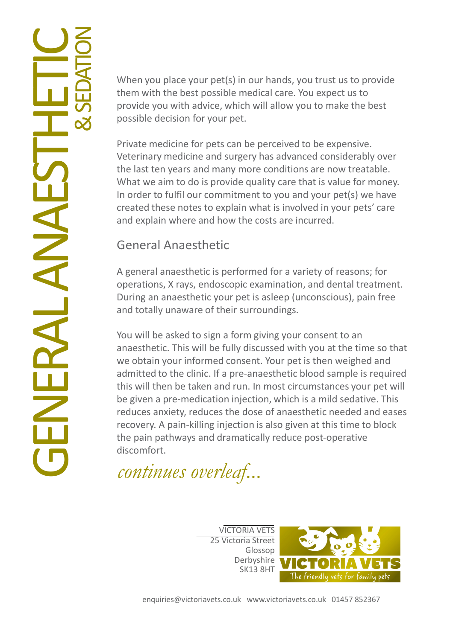When you place your pet(s) in our hands, you trust us to provide them with the best possible medical care. You expect us to provide you with advice, which will allow you to make the best possible decision for your pet.

Private medicine for pets can be perceived to be expensive. Veterinary medicine and surgery has advanced considerably over the last ten years and many more conditions are now treatable. What we aim to do is provide quality care that is value for money. In order to fulfil our commitment to you and your pet(s) we have created these notes to explain what is involved in your pets' care and explain where and how the costs are incurred.

### General Anaesthetic

A general anaesthetic is performed for a variety of reasons; for operations, X rays, endoscopic examination, and dental treatment. During an anaesthetic your pet is asleep (unconscious), pain free and totally unaware of their surroundings.

You will be asked to sign a form giving your consent to an anaesthetic. This will be fully discussed with you at the time so that we obtain your informed consent. Your pet is then weighed and admitted to the clinic. If a pre-anaesthetic blood sample is required this will then be taken and run. In most circumstances your pet will be given a pre-medication injection, which is a mild sedative. This reduces anxiety, reduces the dose of anaesthetic needed and eases recovery. A pain-killing injection is also given at this time to block the pain pathways and dramatically reduce post-operative discomfort.

continues overleaf...

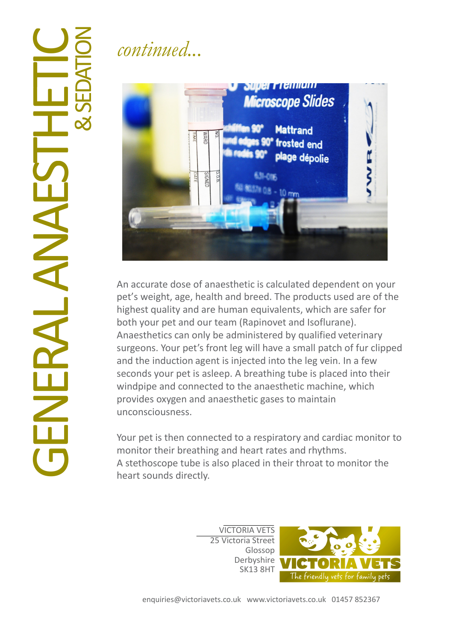# $\overline{\mathbf{G}}$ NERA LANA  $\Box$ STHETIC &SE **DATION**

## continued...



An accurate dose of anaesthetic is calculated dependent on your pet's weight, age, health and breed. The products used are of the highest quality and are human equivalents, which are safer for both your pet and our team (Rapinovet and Isoflurane). Anaesthetics can only be administered by qualified veterinary surgeons. Your pet's front leg will have a small patch of fur clipped and the induction agent is injected into the leg vein. In a few seconds your pet is asleep. A breathing tube is placed into their windpipe and connected to the anaesthetic machine, which provides oxygen and anaesthetic gases to maintain unconsciousness.

Your pet is then connected to a respiratory and cardiac monitor to monitor their breathing and heart rates and rhythms. A stethoscope tube is also placed in their throat to monitor the heart sounds directly.

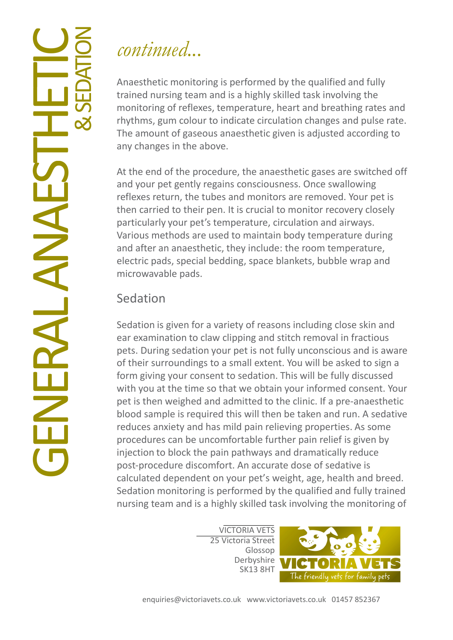## continued...

Anaesthetic monitoring is performed by the qualified and fully trained nursing team and is a highly skilled task involving the monitoring of reflexes, temperature, heart and breathing rates and rhythms, gum colour to indicate circulation changes and pulse rate. The amount of gaseous anaesthetic given is adjusted according to any changes in the above.

At the end of the procedure, the anaesthetic gases are switched off and your pet gently regains consciousness. Once swallowing reflexes return, the tubes and monitors are removed. Your pet is then carried to their pen. It is crucial to monitor recovery closely particularly your pet's temperature, circulation and airways. Various methods are used to maintain body temperature during and after an anaesthetic, they include: the room temperature, electric pads, special bedding, space blankets, bubble wrap and microwavable pads.

### Sedation

Sedation is given for a variety of reasons including close skin and ear examination to claw clipping and stitch removal in fractious pets. During sedation your pet is not fully unconscious and is aware of their surroundings to a small extent. You will be asked to sign a form giving your consent to sedation. This will be fully discussed with you at the time so that we obtain your informed consent. Your pet is then weighed and admitted to the clinic. If a pre-anaesthetic blood sample is required this will then be taken and run. A sedative reduces anxiety and has mild pain relieving properties. As some procedures can be uncomfortable further pain relief is given by injection to block the pain pathways and dramatically reduce post-procedure discomfort. An accurate dose of sedative is calculated dependent on your pet's weight, age, health and breed. Sedation monitoring is performed by the qualified and fully trained nursing team and is a highly skilled task involving the monitoring of